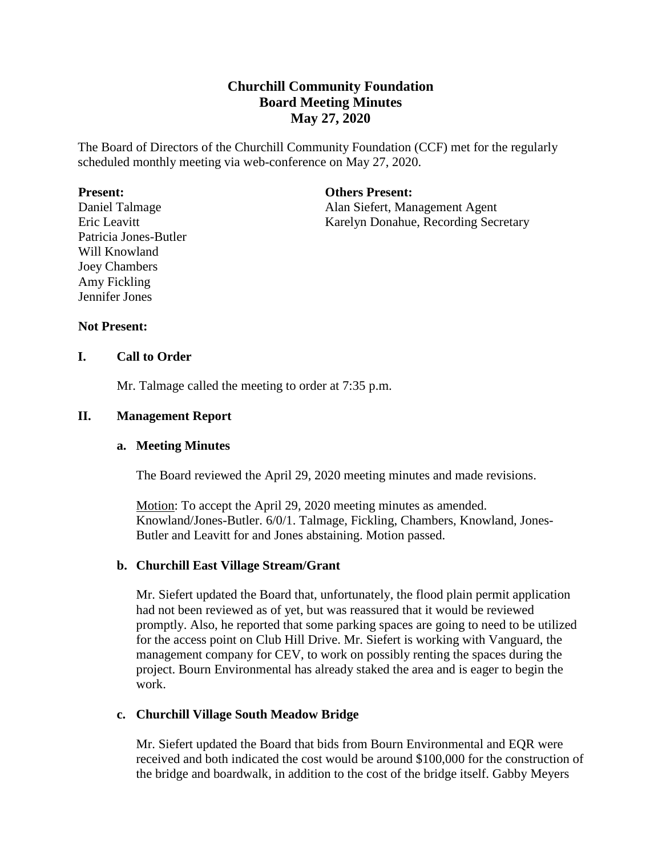# **Churchill Community Foundation Board Meeting Minutes May 27, 2020**

The Board of Directors of the Churchill Community Foundation (CCF) met for the regularly scheduled monthly meeting via web-conference on May 27, 2020.

#### **Present:**

Daniel Talmage Eric Leavitt Patricia Jones-Butler Will Knowland Joey Chambers Amy Fickling Jennifer Jones

## **Others Present:**

Alan Siefert, Management Agent Karelyn Donahue, Recording Secretary

# **Not Present:**

# **I. Call to Order**

Mr. Talmage called the meeting to order at 7:35 p.m.

# **II. Management Report**

#### **a. Meeting Minutes**

The Board reviewed the April 29, 2020 meeting minutes and made revisions.

Motion: To accept the April 29, 2020 meeting minutes as amended. Knowland/Jones-Butler. 6/0/1. Talmage, Fickling, Chambers, Knowland, Jones-Butler and Leavitt for and Jones abstaining. Motion passed.

#### **b. Churchill East Village Stream/Grant**

Mr. Siefert updated the Board that, unfortunately, the flood plain permit application had not been reviewed as of yet, but was reassured that it would be reviewed promptly. Also, he reported that some parking spaces are going to need to be utilized for the access point on Club Hill Drive. Mr. Siefert is working with Vanguard, the management company for CEV, to work on possibly renting the spaces during the project. Bourn Environmental has already staked the area and is eager to begin the work.

# **c. Churchill Village South Meadow Bridge**

Mr. Siefert updated the Board that bids from Bourn Environmental and EQR were received and both indicated the cost would be around \$100,000 for the construction of the bridge and boardwalk, in addition to the cost of the bridge itself. Gabby Meyers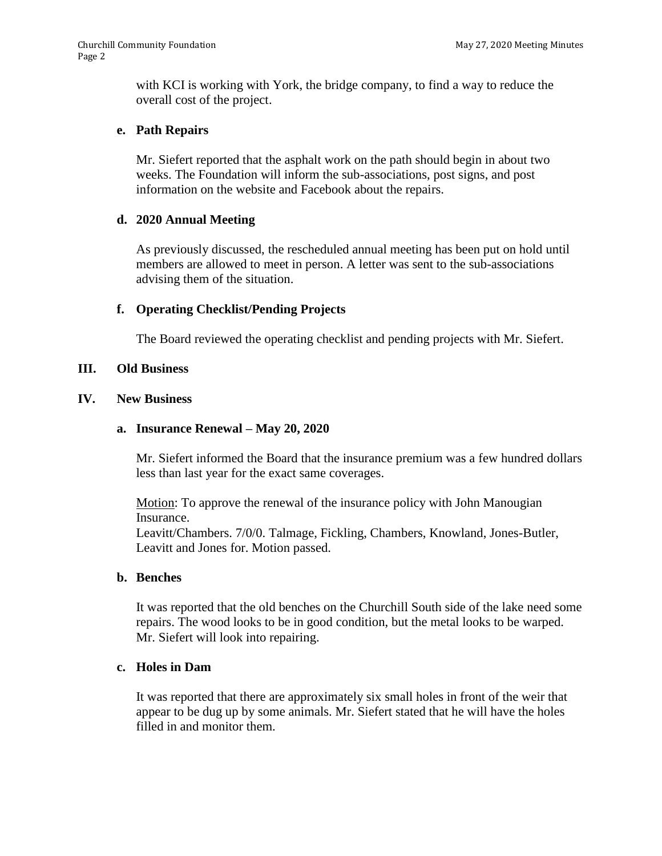with KCI is working with York, the bridge company, to find a way to reduce the overall cost of the project.

# **e. Path Repairs**

Mr. Siefert reported that the asphalt work on the path should begin in about two weeks. The Foundation will inform the sub-associations, post signs, and post information on the website and Facebook about the repairs.

## **d. 2020 Annual Meeting**

As previously discussed, the rescheduled annual meeting has been put on hold until members are allowed to meet in person. A letter was sent to the sub-associations advising them of the situation.

## **f. Operating Checklist/Pending Projects**

The Board reviewed the operating checklist and pending projects with Mr. Siefert.

## **III. Old Business**

## **IV. New Business**

#### **a. Insurance Renewal – May 20, 2020**

Mr. Siefert informed the Board that the insurance premium was a few hundred dollars less than last year for the exact same coverages.

Motion: To approve the renewal of the insurance policy with John Manougian Insurance.

Leavitt/Chambers. 7/0/0. Talmage, Fickling, Chambers, Knowland, Jones-Butler, Leavitt and Jones for. Motion passed.

#### **b. Benches**

It was reported that the old benches on the Churchill South side of the lake need some repairs. The wood looks to be in good condition, but the metal looks to be warped. Mr. Siefert will look into repairing.

## **c. Holes in Dam**

It was reported that there are approximately six small holes in front of the weir that appear to be dug up by some animals. Mr. Siefert stated that he will have the holes filled in and monitor them.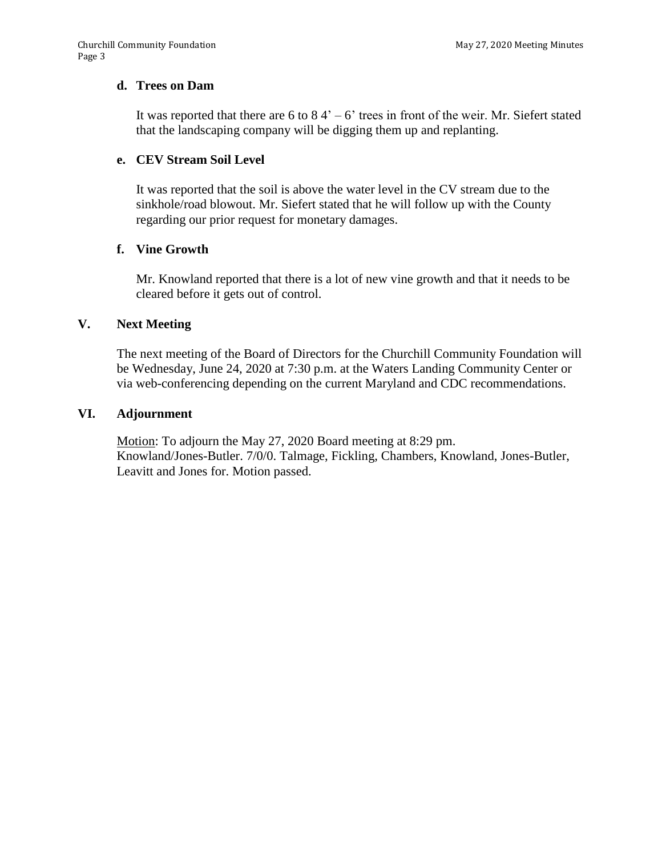## **d. Trees on Dam**

It was reported that there are 6 to  $84<sup>2</sup> - 6$ ' trees in front of the weir. Mr. Siefert stated that the landscaping company will be digging them up and replanting.

# **e. CEV Stream Soil Level**

It was reported that the soil is above the water level in the CV stream due to the sinkhole/road blowout. Mr. Siefert stated that he will follow up with the County regarding our prior request for monetary damages.

# **f. Vine Growth**

Mr. Knowland reported that there is a lot of new vine growth and that it needs to be cleared before it gets out of control.

## **V. Next Meeting**

The next meeting of the Board of Directors for the Churchill Community Foundation will be Wednesday, June 24, 2020 at 7:30 p.m. at the Waters Landing Community Center or via web-conferencing depending on the current Maryland and CDC recommendations.

## **VI. Adjournment**

Motion: To adjourn the May 27, 2020 Board meeting at 8:29 pm. Knowland/Jones-Butler. 7/0/0. Talmage, Fickling, Chambers, Knowland, Jones-Butler, Leavitt and Jones for. Motion passed.